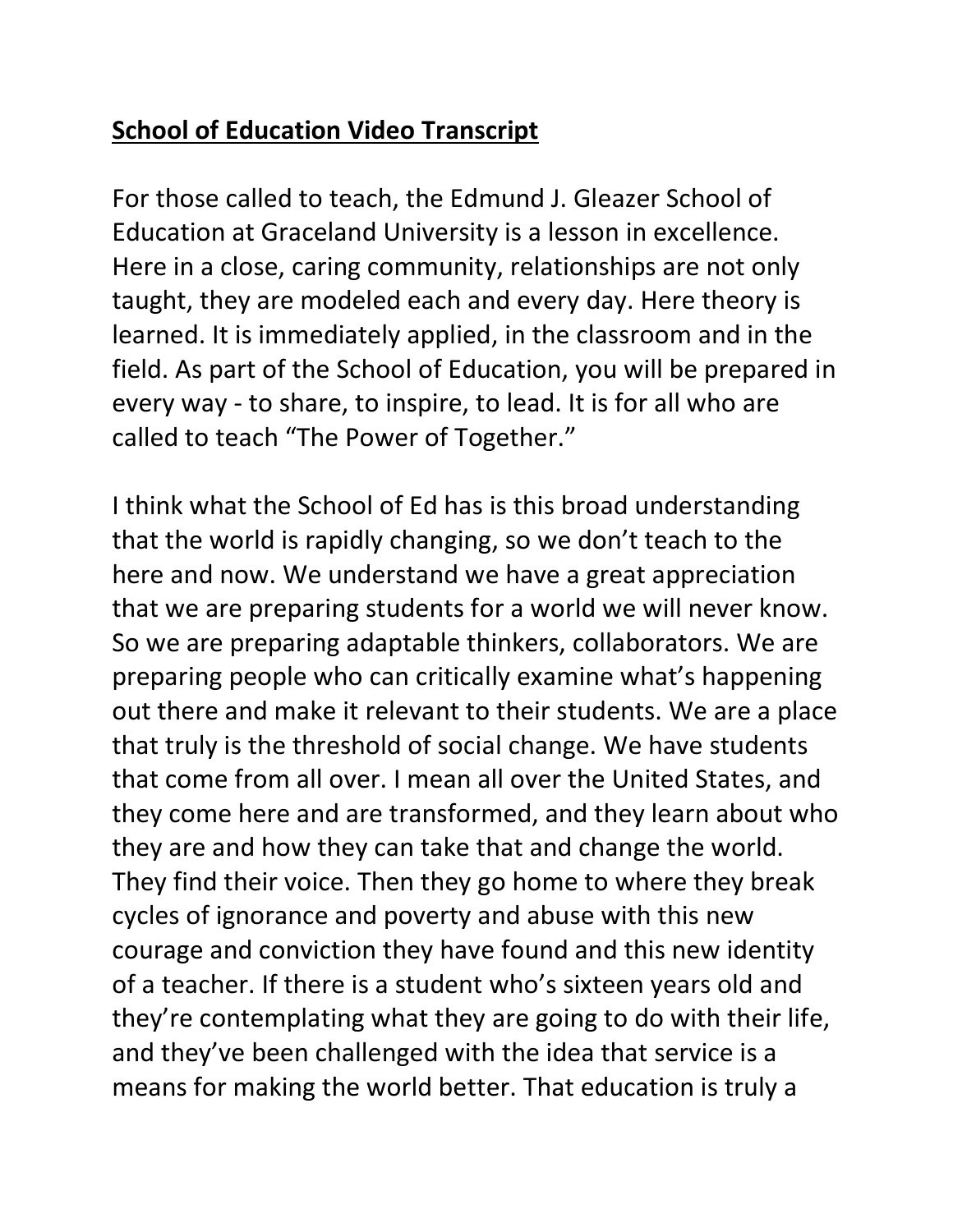## **School of Education Video Transcript**

For those called to teach, the Edmund J. Gleazer School of Education at Graceland University is a lesson in excellence. Here in a close, caring community, relationships are not only taught, they are modeled each and every day. Here theory is learned. It is immediately applied, in the classroom and in the field. As part of the School of Education, you will be prepared in every way - to share, to inspire, to lead. It is for all who are called to teach "The Power of Together."

I think what the School of Ed has is this broad understanding that the world is rapidly changing, so we don't teach to the here and now. We understand we have a great appreciation that we are preparing students for a world we will never know. So we are preparing adaptable thinkers, collaborators. We are preparing people who can critically examine what's happening out there and make it relevant to their students. We are a place that truly is the threshold of social change. We have students that come from all over. I mean all over the United States, and they come here and are transformed, and they learn about who they are and how they can take that and change the world. They find their voice. Then they go home to where they break cycles of ignorance and poverty and abuse with this new courage and conviction they have found and this new identity of a teacher. If there is a student who's sixteen years old and they're contemplating what they are going to do with their life, and they've been challenged with the idea that service is a means for making the world better. That education is truly a